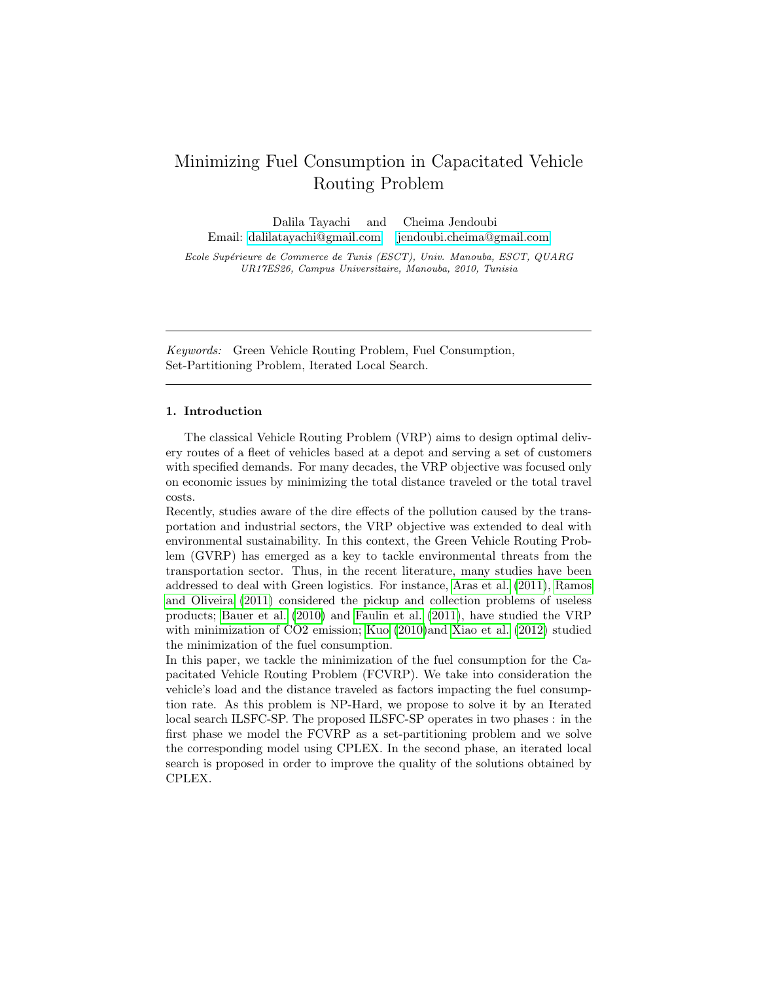# Minimizing Fuel Consumption in Capacitated Vehicle Routing Problem

Dalila Tayachi and Cheima Jendoubi Email: [dalilatayachi@gmail.com](mailto:dalilatayachi@gmail.com) [jendoubi.cheima@gmail.com](mailto:jendoubi.cheima@gmail.com)

Ecole Supérieure de Commerce de Tunis (ESCT), Univ. Manouba, ESCT, QUARG UR17ES26, Campus Universitaire, Manouba, 2010, Tunisia

Keywords: Green Vehicle Routing Problem, Fuel Consumption, Set-Partitioning Problem, Iterated Local Search.

#### 1. Introduction

The classical Vehicle Routing Problem (VRP) aims to design optimal delivery routes of a fleet of vehicles based at a depot and serving a set of customers with specified demands. For many decades, the VRP objective was focused only on economic issues by minimizing the total distance traveled or the total travel costs.

Recently, studies aware of the dire effects of the pollution caused by the transportation and industrial sectors, the VRP objective was extended to deal with environmental sustainability. In this context, the Green Vehicle Routing Problem (GVRP) has emerged as a key to tackle environmental threats from the transportation sector. Thus, in the recent literature, many studies have been addressed to deal with Green logistics. For instance, [Aras et al.](#page-2-0) [\(2011\)](#page-2-0), [Ramos](#page-3-0) [and Oliveira](#page-3-0) [\(2011\)](#page-3-0) considered the pickup and collection problems of useless products; [Bauer et al.](#page-3-1) [\(2010\)](#page-3-1) and [Faulin et al.](#page-3-2) [\(2011\)](#page-3-2), have studied the VRP with minimization of CO2 emission; [Kuo](#page-3-3) [\(2010\)](#page-3-3)and [Xiao et al.](#page-3-4) [\(2012\)](#page-3-4) studied the minimization of the fuel consumption.

In this paper, we tackle the minimization of the fuel consumption for the Capacitated Vehicle Routing Problem (FCVRP). We take into consideration the vehicle's load and the distance traveled as factors impacting the fuel consumption rate. As this problem is NP-Hard, we propose to solve it by an Iterated local search ILSFC-SP. The proposed ILSFC-SP operates in two phases : in the first phase we model the FCVRP as a set-partitioning problem and we solve the corresponding model using CPLEX. In the second phase, an iterated local search is proposed in order to improve the quality of the solutions obtained by CPLEX.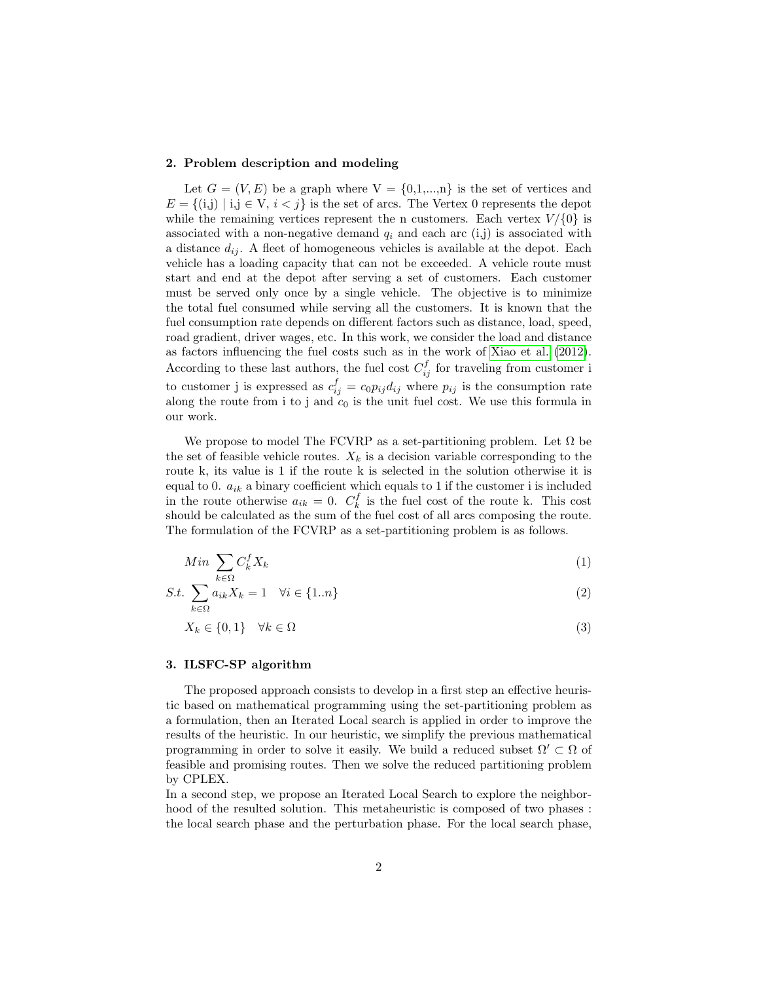## 2. Problem description and modeling

Let  $G = (V, E)$  be a graph where  $V = \{0, 1, ..., n\}$  is the set of vertices and  $E = \{(i,j) | i,j \in V, i < j\}$  is the set of arcs. The Vertex 0 represents the depot while the remaining vertices represent the n customers. Each vertex  $V/\{0\}$  is associated with a non-negative demand  $q_i$  and each arc (i,j) is associated with a distance  $d_{ij}$ . A fleet of homogeneous vehicles is available at the depot. Each vehicle has a loading capacity that can not be exceeded. A vehicle route must start and end at the depot after serving a set of customers. Each customer must be served only once by a single vehicle. The objective is to minimize the total fuel consumed while serving all the customers. It is known that the fuel consumption rate depends on different factors such as distance, load, speed, road gradient, driver wages, etc. In this work, we consider the load and distance as factors influencing the fuel costs such as in the work of [Xiao et al.](#page-3-4) [\(2012\)](#page-3-4). According to these last authors, the fuel cost  $C_{ij}^f$  for traveling from customer i to customer j is expressed as  $c_{ij}^f = c_0 p_{ij} d_{ij}$  where  $p_{ij}$  is the consumption rate along the route from i to j and  $c_0$  is the unit fuel cost. We use this formula in our work.

We propose to model The FCVRP as a set-partitioning problem. Let  $\Omega$  be the set of feasible vehicle routes.  $X_k$  is a decision variable corresponding to the route k, its value is 1 if the route k is selected in the solution otherwise it is equal to 0.  $a_{ik}$  a binary coefficient which equals to 1 if the customer i is included in the route otherwise  $a_{ik} = 0$ .  $C_k^f$  is the fuel cost of the route k. This cost should be calculated as the sum of the fuel cost of all arcs composing the route. The formulation of the FCVRP as a set-partitioning problem is as follows.

$$
Min \sum_{k \in \Omega} C_k^f X_k \tag{1}
$$

$$
S.t. \sum_{k \in \Omega} a_{ik} X_k = 1 \quad \forall i \in \{1..n\}
$$
\n
$$
(2)
$$

$$
X_k \in \{0, 1\} \quad \forall k \in \Omega \tag{3}
$$

#### 3. ILSFC-SP algorithm

The proposed approach consists to develop in a first step an effective heuristic based on mathematical programming using the set-partitioning problem as a formulation, then an Iterated Local search is applied in order to improve the results of the heuristic. In our heuristic, we simplify the previous mathematical programming in order to solve it easily. We build a reduced subset  $\Omega' \subset \Omega$  of feasible and promising routes. Then we solve the reduced partitioning problem by CPLEX.

In a second step, we propose an Iterated Local Search to explore the neighborhood of the resulted solution. This metaheuristic is composed of two phases : the local search phase and the perturbation phase. For the local search phase,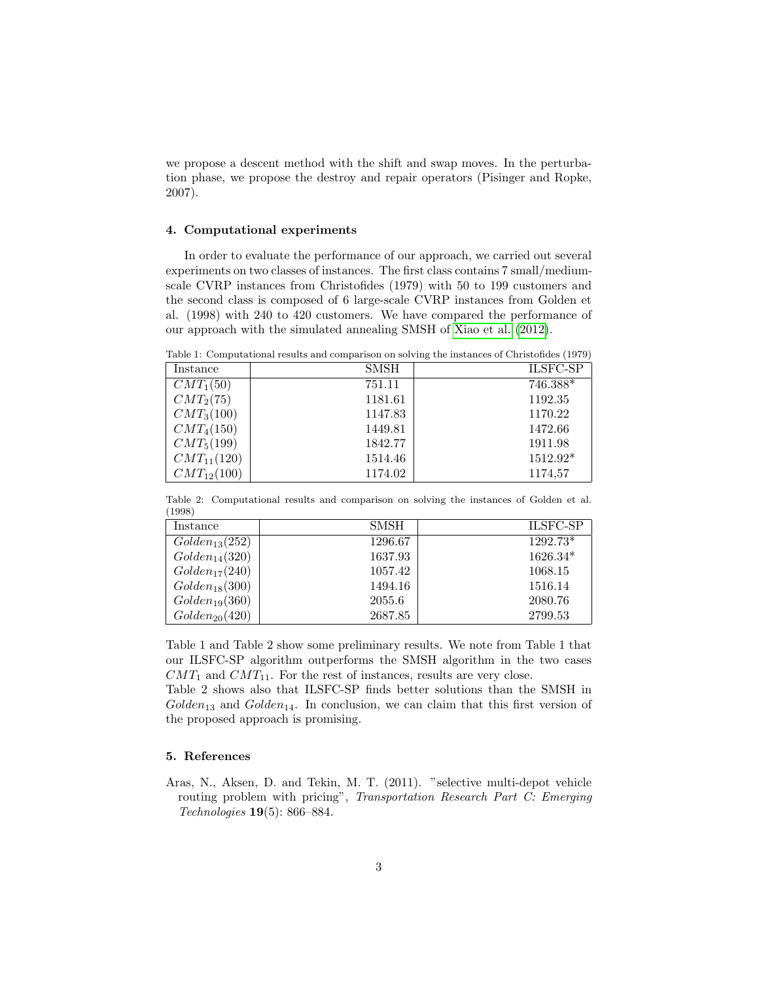we propose a descent method with the shift and swap moves. In the perturbation phase, we propose the destroy and repair operators (Pisinger and Ropke, 2007).

## 4. Computational experiments

In order to evaluate the performance of our approach, we carried out several experiments on two classes of instances. The first class contains 7 small/mediumscale CVRP instances from Christofides (1979) with 50 to 199 customers and the second class is composed of 6 large-scale CVRP instances from Golden et al. (1998) with 240 to 420 customers. We have compared the performance of our approach with the simulated annealing SMSH of [Xiao et al.](#page-3-4) [\(2012\)](#page-3-4).

Table 1: Computational results and comparison on solving the instances of Christofides (1979)

| Instance        | <b>SMSH</b> | <b>ILSFC-SP</b> |
|-----------------|-------------|-----------------|
| $CMT_1(50)$     | 751.11      | 746.388*        |
| $CMT_2(75)$     | 1181.61     | 1192.35         |
| $CMT_3(100)$    | 1147.83     | 1170.22         |
| $CMT_4(150)$    | 1449.81     | 1472.66         |
| $CMT_5(199)$    | 1842.77     | 1911.98         |
| $CMT_{11}(120)$ | 1514.46     | 1512.92*        |
| $CMT_{12}(100)$ | 1174.02     | 1174,57         |

Table 2: Computational results and comparison on solving the instances of Golden et al. (1998)

| Instance           | SMSH    | <b>ILSFC-SP</b> |
|--------------------|---------|-----------------|
| $Golden_{13}(252)$ | 1296.67 | $1292.73*$      |
| $Golden_{14}(320)$ | 1637.93 | $1626.34*$      |
| $Golden_{17}(240)$ | 1057.42 | 1068.15         |
| $Golden_{18}(300)$ | 1494.16 | 1516.14         |
| $Golden_{19}(360)$ | 2055.6  | 2080.76         |
| $Golden_{20}(420)$ | 2687.85 | 2799.53         |

Table 1 and Table 2 show some preliminary results. We note from Table 1 that our ILSFC-SP algorithm outperforms the SMSH algorithm in the two cases  $CMT_1$  and  $CMT_{11}$ . For the rest of instances, results are very close.

Table 2 shows also that ILSFC-SP finds better solutions than the SMSH in  $Golden_{13}$  and  $Golden_{14}$ . In conclusion, we can claim that this first version of the proposed approach is promising.

# 5. References

<span id="page-2-0"></span>Aras, N., Aksen, D. and Tekin, M. T. (2011). "selective multi-depot vehicle routing problem with pricing", Transportation Research Part C: Emerging Technologies 19(5): 866–884.